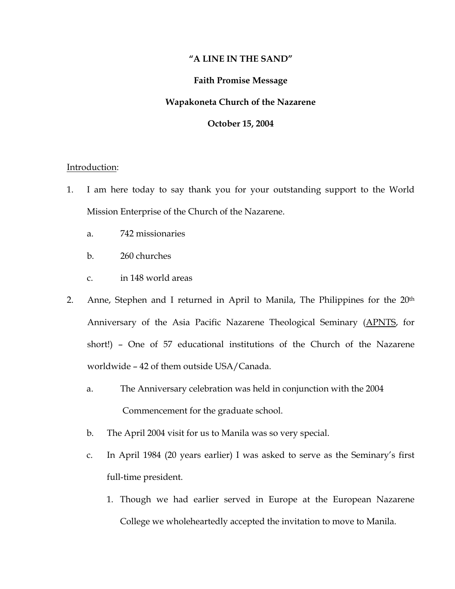# **"A LINE IN THE SAND"**

## **Faith Promise Message**

### **Wapakoneta Church of the Nazarene**

## **October 15, 2004**

#### Introduction:

- 1. I am here today to say thank you for your outstanding support to the World Mission Enterprise of the Church of the Nazarene.
	- a. 742 missionaries
	- b. 260 churches
	- c. in 148 world areas
- 2. Anne, Stephen and I returned in April to Manila, The Philippines for the 20<sup>th</sup> Anniversary of the Asia Pacific Nazarene Theological Seminary (APNTS, for short!) – One of 57 educational institutions of the Church of the Nazarene worldwide – 42 of them outside USA/Canada.
	- a. The Anniversary celebration was held in conjunction with the 2004 Commencement for the graduate school.
	- b. The April 2004 visit for us to Manila was so very special.
	- c. In April 1984 (20 years earlier) I was asked to serve as the Seminary's first full-time president.
		- 1. Though we had earlier served in Europe at the European Nazarene College we wholeheartedly accepted the invitation to move to Manila.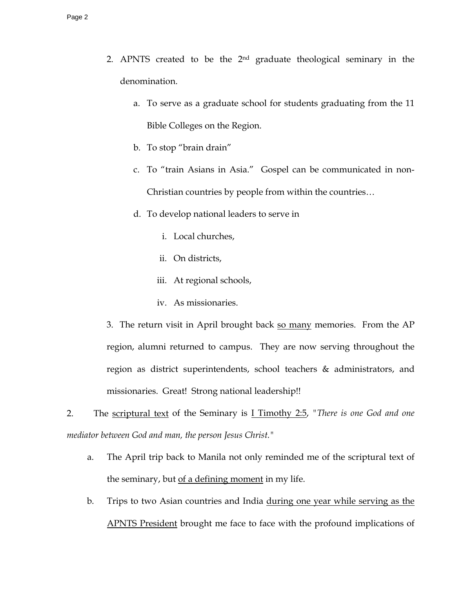- 2. APNTS created to be the 2nd graduate theological seminary in the denomination.
	- a. To serve as a graduate school for students graduating from the 11 Bible Colleges on the Region.
	- b. To stop "brain drain"
	- c. To "train Asians in Asia." Gospel can be communicated in non-Christian countries by people from within the countries…
	- d. To develop national leaders to serve in
		- i. Local churches,
		- ii. On districts,
		- iii. At regional schools,
		- iv. As missionaries.

3. The return visit in April brought back so many memories. From the AP region, alumni returned to campus. They are now serving throughout the region as district superintendents, school teachers & administrators, and missionaries. Great! Strong national leadership!!

2. The scriptural text of the Seminary is I Timothy 2:5, *"There is one God and one mediator between God and man, the person Jesus Christ."* 

- a. The April trip back to Manila not only reminded me of the scriptural text of the seminary, but of a defining moment in my life.
- b. Trips to two Asian countries and India during one year while serving as the APNTS President brought me face to face with the profound implications of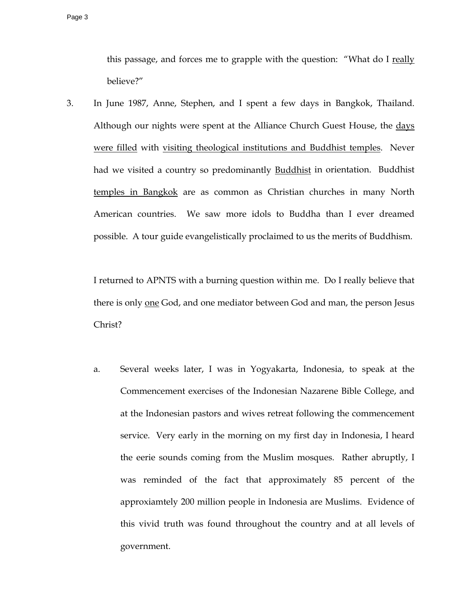this passage, and forces me to grapple with the question: "What do I really believe?"

3. In June 1987, Anne, Stephen, and I spent a few days in Bangkok, Thailand. Although our nights were spent at the Alliance Church Guest House, the days were filled with visiting theological institutions and Buddhist temples. Never had we visited a country so predominantly Buddhist in orientation. Buddhist temples in Bangkok are as common as Christian churches in many North American countries. We saw more idols to Buddha than I ever dreamed possible. A tour guide evangelistically proclaimed to us the merits of Buddhism.

I returned to APNTS with a burning question within me. Do I really believe that there is only one God, and one mediator between God and man, the person Jesus Christ?

 a. Several weeks later, I was in Yogyakarta, Indonesia, to speak at the Commencement exercises of the Indonesian Nazarene Bible College, and at the Indonesian pastors and wives retreat following the commencement service. Very early in the morning on my first day in Indonesia, I heard the eerie sounds coming from the Muslim mosques. Rather abruptly, I was reminded of the fact that approximately 85 percent of the approxiamtely 200 million people in Indonesia are Muslims. Evidence of this vivid truth was found throughout the country and at all levels of government.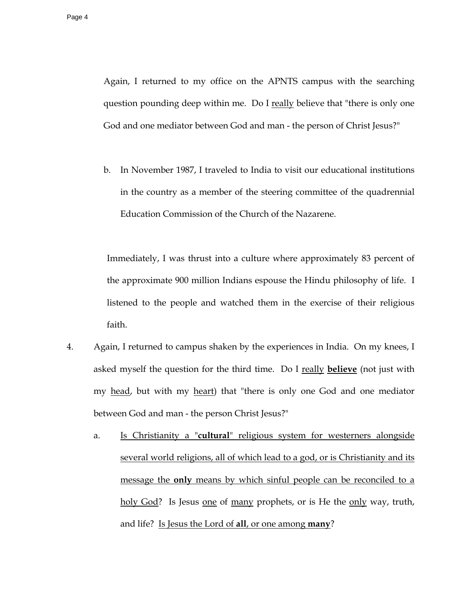Again, I returned to my office on the APNTS campus with the searching question pounding deep within me. Do I really believe that "there is only one God and one mediator between God and man - the person of Christ Jesus?"

b. In November 1987, I traveled to India to visit our educational institutions in the country as a member of the steering committee of the quadrennial Education Commission of the Church of the Nazarene.

Immediately, I was thrust into a culture where approximately 83 percent of the approximate 900 million Indians espouse the Hindu philosophy of life. I listened to the people and watched them in the exercise of their religious faith.

- 4. Again, I returned to campus shaken by the experiences in India. On my knees, I asked myself the question for the third time. Do I really **believe** (not just with my head, but with my heart) that "there is only one God and one mediator between God and man - the person Christ Jesus?"
	- a. Is Christianity a "**cultural**" religious system for westerners alongside several world religions, all of which lead to a god, or is Christianity and its message the **only** means by which sinful people can be reconciled to a holy God? Is Jesus one of many prophets, or is He the only way, truth, and life? Is Jesus the Lord of **all**, or one among **many**?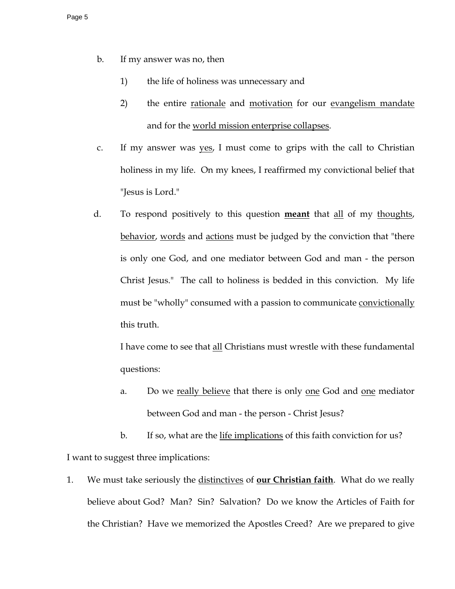- b. If my answer was no, then
	- 1) the life of holiness was unnecessary and
	- 2) the entire rationale and motivation for our evangelism mandate and for the world mission enterprise collapses.
- c. If my answer was yes, I must come to grips with the call to Christian holiness in my life. On my knees, I reaffirmed my convictional belief that "Jesus is Lord."
- d. To respond positively to this question **meant** that all of my thoughts, behavior, words and actions must be judged by the conviction that "there is only one God, and one mediator between God and man - the person Christ Jesus." The call to holiness is bedded in this conviction. My life must be "wholly" consumed with a passion to communicate convictionally this truth.

I have come to see that all Christians must wrestle with these fundamental questions:

a. Do we really believe that there is only one God and one mediator between God and man - the person - Christ Jesus?

b. If so, what are the life implications of this faith conviction for us? I want to suggest three implications:

1. We must take seriously the distinctives of **our Christian faith**. What do we really believe about God? Man? Sin? Salvation? Do we know the Articles of Faith for the Christian? Have we memorized the Apostles Creed? Are we prepared to give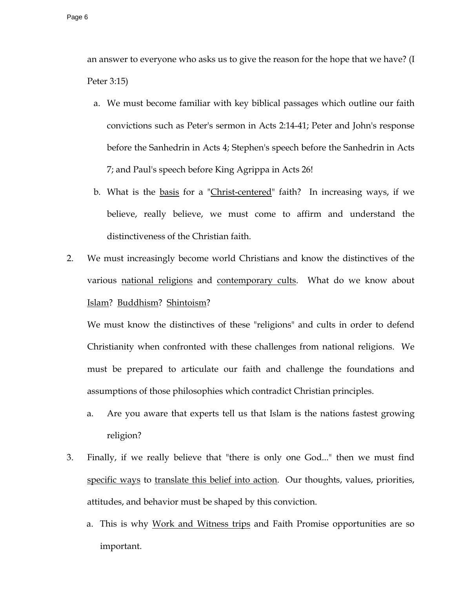an answer to everyone who asks us to give the reason for the hope that we have? (I Peter 3:15)

- a. We must become familiar with key biblical passages which outline our faith convictions such as Peter's sermon in Acts 2:14-41; Peter and John's response before the Sanhedrin in Acts 4; Stephen's speech before the Sanhedrin in Acts 7; and Paul's speech before King Agrippa in Acts 26!
- b. What is the basis for a "Christ-centered" faith? In increasing ways, if we believe, really believe, we must come to affirm and understand the distinctiveness of the Christian faith.
- 2. We must increasingly become world Christians and know the distinctives of the various national religions and contemporary cults. What do we know about Islam? Buddhism? Shintoism?

 We must know the distinctives of these "religions" and cults in order to defend Christianity when confronted with these challenges from national religions. We must be prepared to articulate our faith and challenge the foundations and assumptions of those philosophies which contradict Christian principles.

- a. Are you aware that experts tell us that Islam is the nations fastest growing religion?
- 3. Finally, if we really believe that "there is only one God..." then we must find specific ways to translate this belief into action. Our thoughts, values, priorities, attitudes, and behavior must be shaped by this conviction.
	- a. This is why Work and Witness trips and Faith Promise opportunities are so important.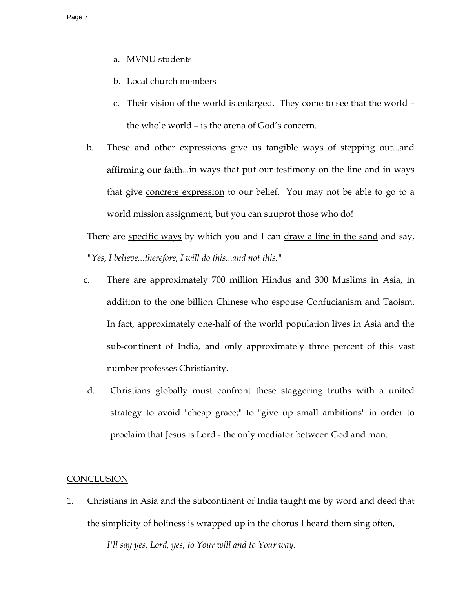- a. MVNU students
- b. Local church members
- c. Their vision of the world is enlarged. They come to see that the world the whole world – is the arena of God's concern.
- b. These and other expressions give us tangible ways of stepping out...and affirming our faith...in ways that put our testimony on the line and in ways that give concrete expression to our belief. You may not be able to go to a world mission assignment, but you can suuprot those who do!

There are specific ways by which you and I can draw a line in the sand and say, *"Yes, I believe...therefore, I will do this...and not this."*

- c. There are approximately 700 million Hindus and 300 Muslims in Asia, in addition to the one billion Chinese who espouse Confucianism and Taoism. In fact, approximately one-half of the world population lives in Asia and the sub-continent of India, and only approximately three percent of this vast number professes Christianity.
- d. Christians globally must confront these staggering truths with a united strategy to avoid "cheap grace;" to "give up small ambitions" in order to proclaim that Jesus is Lord - the only mediator between God and man.

### **CONCLUSION**

1. Christians in Asia and the subcontinent of India taught me by word and deed that the simplicity of holiness is wrapped up in the chorus I heard them sing often,

 *I'll say yes, Lord, yes, to Your will and to Your way.*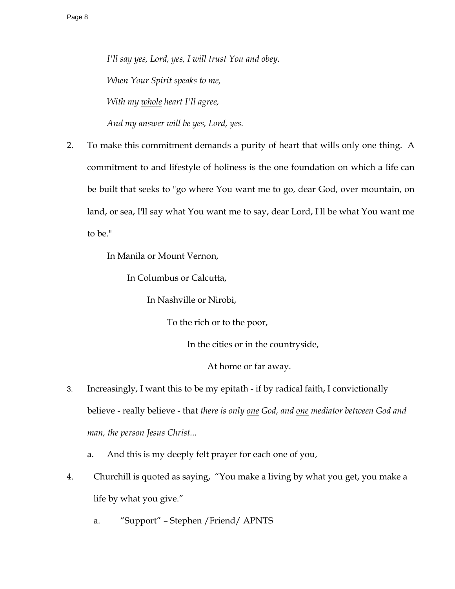*I'll say yes, Lord, yes, I will trust You and obey. When Your Spirit speaks to me, With my whole heart I'll agree, And my answer will be yes, Lord, yes.* 

2. To make this commitment demands a purity of heart that wills only one thing. A commitment to and lifestyle of holiness is the one foundation on which a life can be built that seeks to "go where You want me to go, dear God, over mountain, on land, or sea, I'll say what You want me to say, dear Lord, I'll be what You want me to be."

In Manila or Mount Vernon,

In Columbus or Calcutta,

In Nashville or Nirobi,

To the rich or to the poor,

In the cities or in the countryside,

At home or far away.

- 3. Increasingly, I want this to be my epitath if by radical faith, I convictionally believe - really believe - that *there is only one God, and one mediator between God and man, the person Jesus Christ...*
	- a. And this is my deeply felt prayer for each one of you,
- 4. Churchill is quoted as saying, "You make a living by what you get, you make a life by what you give."
	- a. "Support" Stephen /Friend/ APNTS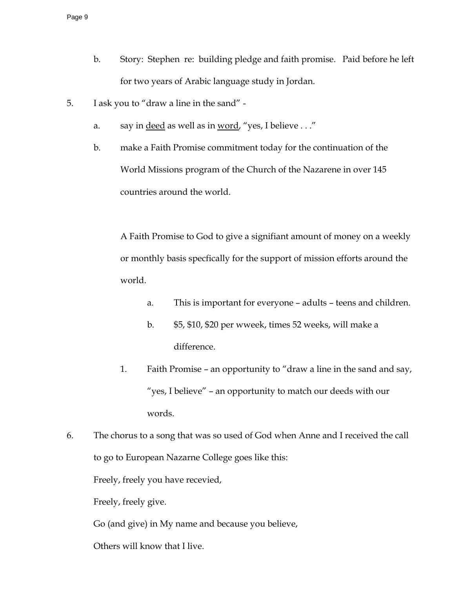- b. Story: Stephen re: building pledge and faith promise. Paid before he left for two years of Arabic language study in Jordan.
- 5. I ask you to "draw a line in the sand"
	- a. say in <u>deed</u> as well as in word, "yes, I believe . . ."
	- b. make a Faith Promise commitment today for the continuation of the World Missions program of the Church of the Nazarene in over 145 countries around the world.

A Faith Promise to God to give a signifiant amount of money on a weekly or monthly basis specfically for the support of mission efforts around the world.

- a. This is important for everyone adults teens and children.
- b. \$5, \$10, \$20 per wweek, times 52 weeks, will make a difference.
- 1. Faith Promise an opportunity to "draw a line in the sand and say, "yes, I believe" – an opportunity to match our deeds with our words.
- 6. The chorus to a song that was so used of God when Anne and I received the call to go to European Nazarne College goes like this:

Freely, freely you have recevied,

Freely, freely give.

Go (and give) in My name and because you believe,

Others will know that I live.